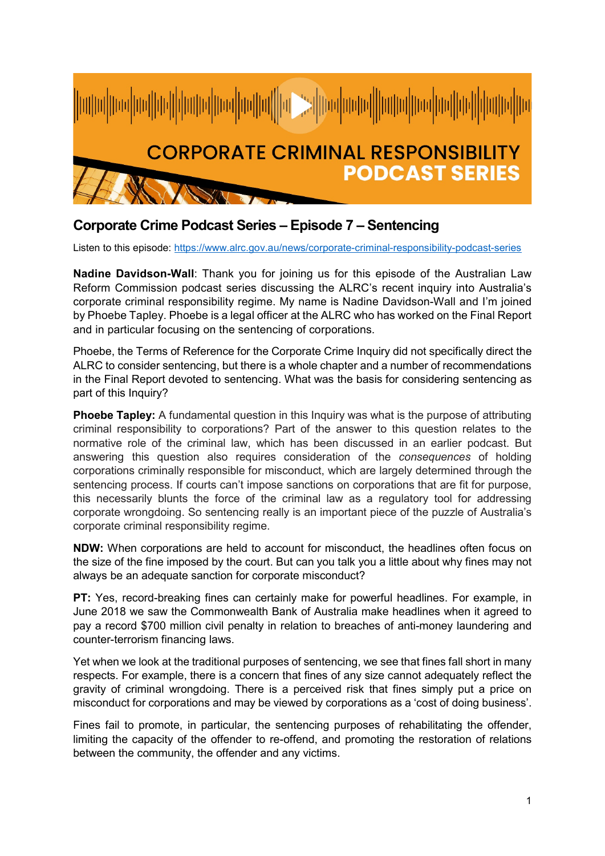

## **Corporate Crime Podcast Series – Episode 7 – Sentencing**

Listen to this episode:<https://www.alrc.gov.au/news/corporate-criminal-responsibility-podcast-series>

**Nadine Davidson-Wall**: Thank you for joining us for this episode of the Australian Law Reform Commission podcast series discussing the ALRC's recent inquiry into Australia's corporate criminal responsibility regime. My name is Nadine Davidson-Wall and I'm joined by Phoebe Tapley. Phoebe is a legal officer at the ALRC who has worked on the Final Report and in particular focusing on the sentencing of corporations.

Phoebe, the Terms of Reference for the Corporate Crime Inquiry did not specifically direct the ALRC to consider sentencing, but there is a whole chapter and a number of recommendations in the Final Report devoted to sentencing. What was the basis for considering sentencing as part of this Inquiry?

**Phoebe Tapley:** A fundamental question in this Inquiry was what is the purpose of attributing criminal responsibility to corporations? Part of the answer to this question relates to the normative role of the criminal law, which has been discussed in an earlier podcast. But answering this question also requires consideration of the *consequences* of holding corporations criminally responsible for misconduct, which are largely determined through the sentencing process. If courts can't impose sanctions on corporations that are fit for purpose, this necessarily blunts the force of the criminal law as a regulatory tool for addressing corporate wrongdoing. So sentencing really is an important piece of the puzzle of Australia's corporate criminal responsibility regime.

**NDW:** When corporations are held to account for misconduct, the headlines often focus on the size of the fine imposed by the court. But can you talk you a little about why fines may not always be an adequate sanction for corporate misconduct?

**PT:** Yes, record-breaking fines can certainly make for powerful headlines. For example, in June 2018 we saw the Commonwealth Bank of Australia make headlines when it agreed to pay a record \$700 million civil penalty in relation to breaches of anti-money laundering and counter-terrorism financing laws.

Yet when we look at the traditional purposes of sentencing, we see that fines fall short in many respects. For example, there is a concern that fines of any size cannot adequately reflect the gravity of criminal wrongdoing. There is a perceived risk that fines simply put a price on misconduct for corporations and may be viewed by corporations as a 'cost of doing business'.

Fines fail to promote, in particular, the sentencing purposes of rehabilitating the offender, limiting the capacity of the offender to re-offend, and promoting the restoration of relations between the community, the offender and any victims.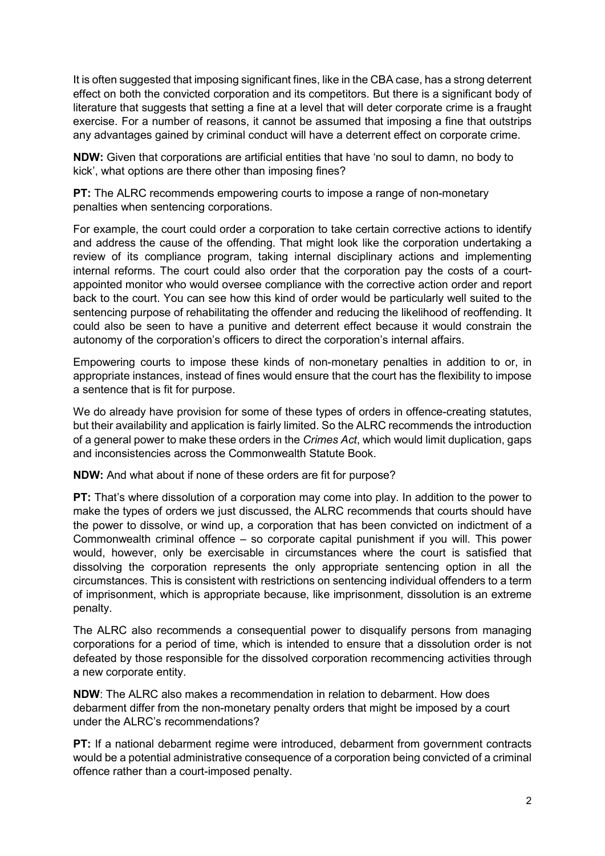It is often suggested that imposing significant fines, like in the CBA case, has a strong deterrent effect on both the convicted corporation and its competitors. But there is a significant body of literature that suggests that setting a fine at a level that will deter corporate crime is a fraught exercise. For a number of reasons, it cannot be assumed that imposing a fine that outstrips any advantages gained by criminal conduct will have a deterrent effect on corporate crime.

**NDW:** Given that corporations are artificial entities that have 'no soul to damn, no body to kick', what options are there other than imposing fines?

**PT:** The ALRC recommends empowering courts to impose a range of non-monetary penalties when sentencing corporations.

For example, the court could order a corporation to take certain corrective actions to identify and address the cause of the offending. That might look like the corporation undertaking a review of its compliance program, taking internal disciplinary actions and implementing internal reforms. The court could also order that the corporation pay the costs of a courtappointed monitor who would oversee compliance with the corrective action order and report back to the court. You can see how this kind of order would be particularly well suited to the sentencing purpose of rehabilitating the offender and reducing the likelihood of reoffending. It could also be seen to have a punitive and deterrent effect because it would constrain the autonomy of the corporation's officers to direct the corporation's internal affairs.

Empowering courts to impose these kinds of non-monetary penalties in addition to or, in appropriate instances, instead of fines would ensure that the court has the flexibility to impose a sentence that is fit for purpose.

We do already have provision for some of these types of orders in offence-creating statutes, but their availability and application is fairly limited. So the ALRC recommends the introduction of a general power to make these orders in the *Crimes Act*, which would limit duplication, gaps and inconsistencies across the Commonwealth Statute Book.

**NDW:** And what about if none of these orders are fit for purpose?

**PT:** That's where dissolution of a corporation may come into play. In addition to the power to make the types of orders we just discussed, the ALRC recommends that courts should have the power to dissolve, or wind up, a corporation that has been convicted on indictment of a Commonwealth criminal offence – so corporate capital punishment if you will. This power would, however, only be exercisable in circumstances where the court is satisfied that dissolving the corporation represents the only appropriate sentencing option in all the circumstances. This is consistent with restrictions on sentencing individual offenders to a term of imprisonment, which is appropriate because, like imprisonment, dissolution is an extreme penalty.

The ALRC also recommends a consequential power to disqualify persons from managing corporations for a period of time, which is intended to ensure that a dissolution order is not defeated by those responsible for the dissolved corporation recommencing activities through a new corporate entity.

**NDW**: The ALRC also makes a recommendation in relation to debarment. How does debarment differ from the non-monetary penalty orders that might be imposed by a court under the ALRC's recommendations?

**PT:** If a national debarment regime were introduced, debarment from government contracts would be a potential administrative consequence of a corporation being convicted of a criminal offence rather than a court-imposed penalty.